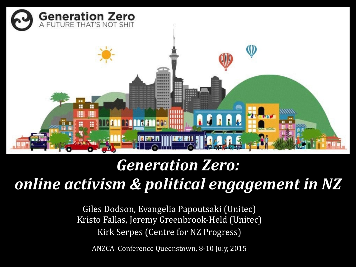

### *Generation Zero: online activism & political engagement in NZ*

Giles Dodson, Evangelia Papoutsaki (Unitec) Kristo Fallas, Jeremy Greenbrook-Held (Unitec) Kirk Serpes (Centre for NZ Progress)

ANZCA Conference Queenstown, 8-10 July, 2015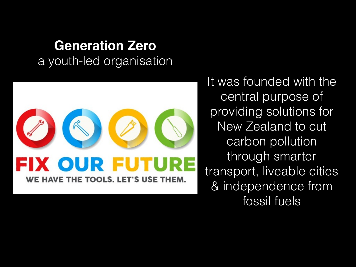#### **Generation Zero** a youth-led organisation



It was founded with the central purpose of providing solutions for New Zealand to cut carbon pollution through smarter transport, liveable cities & independence from fossil fuels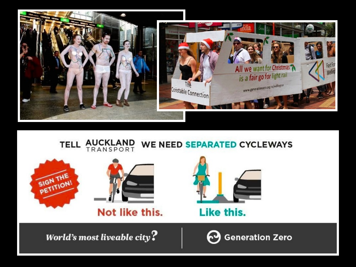

**AUCKLAND WE NEED SEPARATED CYCLEWAYS TELL** 





#### Not like this.



#### Like this.

World's most liveable city?

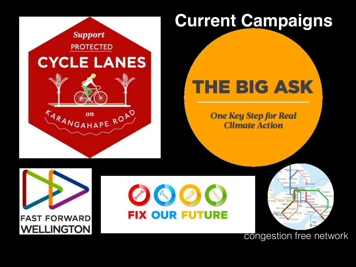

### **Current Campaigns**

### **THE BIG ASK**

**One Key Step for Real Climate Action** 







congestion free network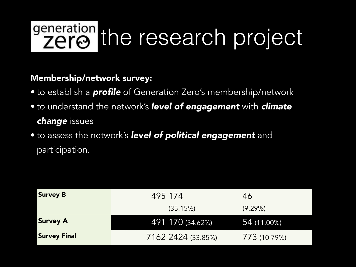## generation<br> **Zere** the research project

#### Membership/network survey:

- to establish a *profile* of Generation Zero's membership/network
- to understand the network's *level of engagement* with *climate change* issues
- to assess the network's *level of political engagement* and participation.

| <b>Survey B</b>     | 495 174            | 46           |
|---------------------|--------------------|--------------|
|                     | (35.15%)           | $(9.29\%)$   |
| <b>Survey A</b>     | 491 170 (34.62%)   | 54 (11.00%)  |
| <b>Survey Final</b> | 7162 2424 (33.85%) | 773 (10.79%) |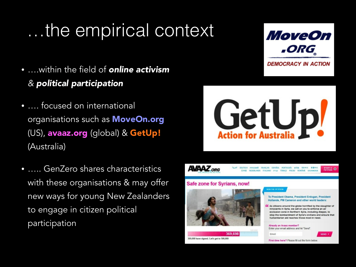### …the empirical context

- ….within the field of *online activism & political participation*
- …. focused on international organisations such as **MoveOn.org** (US), avaaz.org (global) & GetUp! (Australia)
- ….. GenZero shares characteristics with these organisations & may offer new ways for young New Zealanders to engage in citizen political participation





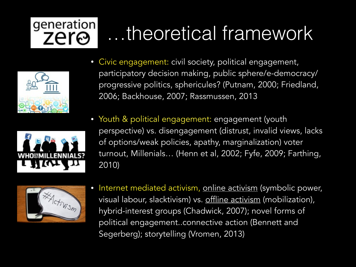### generation **zero**

### …theoretical framework



• Civic engagement: civil society, political engagement, participatory decision making, public sphere/e-democracy/ progressive politics, sphericules? (Putnam, 2000; Friedland, 2006; Backhouse, 2007; Rassmussen, 2013



• Youth & political engagement: engagement (youth perspective) vs. disengagement (distrust, invalid views, lacks of options/weak policies, apathy, marginalization) voter turnout, Millenials… (Henn et al, 2002; Fyfe, 2009; Farthing, 2010)



Internet mediated activism, online activism (symbolic power, visual labour, slacktivism) vs. offline activism (mobilization), hybrid-interest groups (Chadwick, 2007); novel forms of political engagement..connective action (Bennett and Segerberg); storytelling (Vromen, 2013)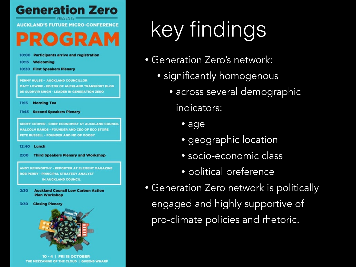**AUCKLAND'S FUTURE MICRO-CONFERENCE** 

**Generation Zero** 

### PROGRAM

10:00 **Participants arrive and registration** 

- **Welcoming** 10:15
- **First Speakers Plenary** 10:30

PENNY HULSE - AUCKLAND COUNCILLOR **MATT LOWRIE - EDITOR OF AUCKLAND TRANSPORT BLOG DR SUDHVIR SINGH - LEADER IN GENERATION ZERO** 

11:15 **Morning Tea** 

**Second Speakers Plenary** 11:45

**GEOFF COOPER - CHIEF ECONOMIST AT AUCKLAND COUNCIL MALCOLM RANDS - FOUNDER AND CEO OF ECO STORE** PETE RUSSELL - FOUNDER AND MD OF OOOBY

 $12:40$ Lunch

**Third Speakers Plenary and Workshop**  $2:00$ 

**ANDY KENWORTHY - REPORTER AT ELEMENT MAGAZINE ROB PERRY - PRINCIPAL STRATEGY ANALYST IN AUCKLAND COUNCIL** 

**Auckland Council Low Carbon Action**  $2:30$ **Plan Workshop** 

**Closing Plenary** 3:30



10 - 4 | FRI 18 OCTOBER THE MEZZANINE OF THE CLOUD | QUEENS WHARF

### key findings

- Generation Zero's network:
	- significantly homogenous
		- across several demographic indicators:

• age

- geographic location
- socio-economic class
- political preference
- Generation Zero network is politically engaged and highly supportive of pro-climate policies and rhetoric.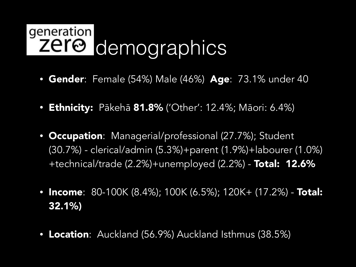### generation zere demographics

- Gender: Female (54%) Male (46%) Age: 73.1% under 40
- Ethnicity: Pākehā 81.8% ('Other': 12.4%; Māori: 6.4%)
- **Occupation**: Managerial/professional (27.7%); Student (30.7%) - clerical/admin (5.3%)+parent (1.9%)+labourer (1.0%) +technical/trade (2.2%)+unemployed (2.2%) - Total: 12.6%
- Income: 80-100K (8.4%); 100K (6.5%); 120K+ (17.2%) Total: 32.1%)
- Location: Auckland (56.9%) Auckland Isthmus (38.5%)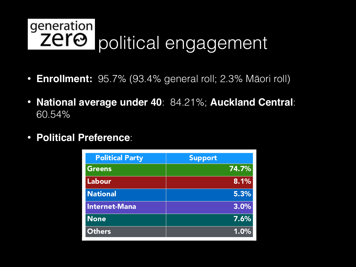

- **Enrollment:** 95.7% (93.4% general roll; 2.3% Māori roll)
- **National average under 40**: 84.21%; **Auckland Central**: 60.54%
- **Political Preference**:

| <b>Political Party</b> | <b>Support</b> |
|------------------------|----------------|
| Greens                 | 74.7%          |
| Labour                 | 8.1%           |
| National               | 5.3%           |
| Internet-Mana          | 3.0%           |
| <b>None</b>            | 7.6%           |
| <b>Others</b>          | 1.0%           |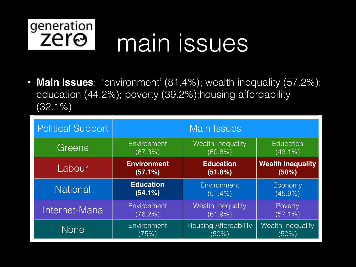

### main issues

• **Main Issues**: 'environment' (81.4%); wealth inequality (57.2%); education (44.2%); poverty (39.2%);housing affordability (32.1%)

| <b>Political Support</b> | <b>Main Issues</b>                                           |                          |                                   |  |  |
|--------------------------|--------------------------------------------------------------|--------------------------|-----------------------------------|--|--|
| <b>Greens</b>            | Environment                                                  | Wealth Inequality        | <b>Education</b>                  |  |  |
|                          | (87.3%)                                                      | $(60.8\%)$               | $(43.1\%)$                        |  |  |
| Labour                   | <b>Environment</b><br><b>Education</b><br>(57.1%)<br>(51.8%) |                          | <b>Wealth Inequality</b><br>(50%) |  |  |
|                          |                                                              |                          |                                   |  |  |
| <b>National</b>          | <b>Education</b>                                             | <b>Environment</b>       | Economy                           |  |  |
|                          | (54.1%)                                                      | $(51.4\%)$               | $(45.9\%)$                        |  |  |
| Internet-Mana            | Environment                                                  | <b>Wealth Inequality</b> | Poverty                           |  |  |
|                          | $(76.2\%)$                                                   | $(61.9\%)$               | $(57.1\%)$                        |  |  |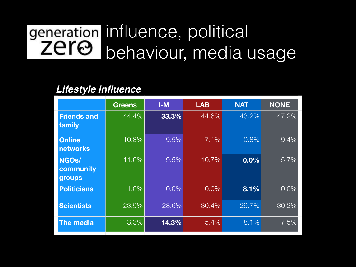### generation influence, political behaviour, media usage

#### *Lifestyle Influence*

|                                     | <b>Greens</b>        | $I-M$   | <b>LAB</b> | <b>NAT</b> | <b>NONE</b> |
|-------------------------------------|----------------------|---------|------------|------------|-------------|
| <b>Friends and</b><br><b>family</b> | $\overline{144.4\%}$ | 33.3%   | 44.6%      | 43.2%      | 47.2%       |
| <b>Online</b><br>networks           | 10.8%                | 9.5%    | 7.1%       | 10.8%      | 9.4%        |
| NGOs/<br>community<br>groups        | 11.6%                | 9.5%    | 10.7%      | $0.0\%$    | 5.7%        |
| <b>Politicians</b>                  | 1.0%                 | $0.0\%$ | $0.0\%$    | 8.1%       | $0.0\%$     |
| <b>Scientists</b>                   | 23.9%                | 28.6%   | 30.4%      | 29.7%      | 30.2%       |
| The media                           | 3.3%                 | 14.3%   | 5.4%       | $8.1\%$    | 7.5%        |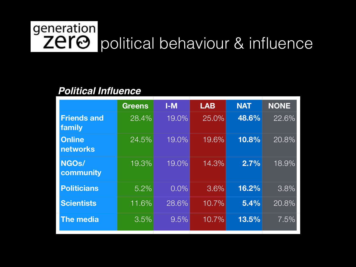### generation political behaviour & influence

#### *Political Influence*

|                                  | <b>Greens</b> | $I-M$   | <b>LAB</b> | <b>NAT</b> | <b>NONE</b>         |
|----------------------------------|---------------|---------|------------|------------|---------------------|
| <b>Friends and</b><br>family     | 28.4%         | 19.0%   | 25.0%      | 48.6%      | 22.6%               |
| <b>Online</b><br><b>networks</b> | 24.5%         | 19.0%   | 19.6%      | 10.8%      | 20.8%               |
| NGOs/<br>community               | 19.3%         | 19.0%   | 14.3%      | 2.7%       | 18.9%               |
| <b>Politicians</b>               | 5.2%          | $0.0\%$ | 3.6%       | 16.2%      | 3.8%                |
| <b>Scientists</b>                | 11.6%         | 28.6%   | 10.7%      | 5.4%       | $\overline{20.8\%}$ |
| <b>The media</b>                 | 3.5%          | 9.5%    | 10.7%      | 13.5%      | 7.5%                |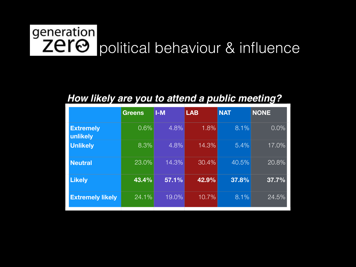### generation political behaviour & influence

#### *How likely are you to attend a public meeting?*

|                              | <b>Greens</b> | $I-M$ | <b>LAB</b> | <b>NAT</b> | <b>NONE</b> |
|------------------------------|---------------|-------|------------|------------|-------------|
| <b>Extremely</b><br>unlikely | 0.6%          | 4.8%  | 1.8%       | $8.1\%$    | $0.0\%$     |
| <b>Unlikely</b>              | 8.3%          | 4.8%  | 14.3%      | 5.4%       | 17.0%       |
| <b>Neutral</b>               | 23.0%         | 14.3% | 30.4%      | 40.5%      | 20.8%       |
| <b>Likely</b>                | 43.4%         | 57.1% | 42.9%      | 37.8%      | 37.7%       |
| <b>Extremely likely</b>      | 24.1%         | 19.0% | 10.7%      | 8.1%       | 24.5%       |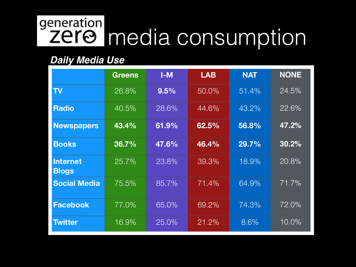### generation media consumption

#### *Daily Media Use*

|                                 | <b>Greens</b> | $I-M$ | <b>LAB</b> | <b>NAT</b> | <b>NONE</b> |
|---------------------------------|---------------|-------|------------|------------|-------------|
| TV                              | 26.8%         | 9.5%  | 50.0%      | 51.4%      | 24.5%       |
| <b>Radio</b>                    | 40.5%         | 28.6% | 44.6%      | 43.2%      | 22.6%       |
| <b>Newspapers</b>               | 43.4%         | 61.9% | 62.5%      | 56.8%      | 47.2%       |
| <b>Books</b>                    | 36.7%         | 47.6% | 46.4%      | 29.7%      | $30.2\%$    |
| <b>Internet</b><br><b>Blogs</b> | 25.7%         | 23.8% | 39.3%      | 18.9%      | 20.8%       |
| <b>Social Media</b>             | 75.5%         | 85.7% | 71.4%      | 64.9%      | 71.7%       |
| <b>Facebook</b>                 | 77.0%         | 65.0% | 69.2%      | 74.3%      | 72.0%       |
| <b>Twitter</b>                  | 16.9%         | 25.0% | 21.2%      | 8.6%       | 10.0%       |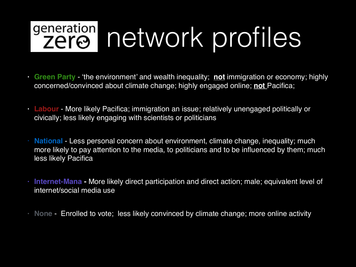# generation network profiles

- **Green Party** 'the environment' and wealth inequality; **not** immigration or economy; highly concerned/convinced about climate change; highly engaged online; **not** Pacifica;
- **Labour**  More likely Pacifica; immigration an issue; relatively unengaged politically or civically; less likely engaging with scientists or politicians
- **• National** Less personal concern about environment, climate change, inequality; much more likely to pay attention to the media, to politicians and to be influenced by them; much less likely Pacifica
- **• Internet-Mana** More likely direct participation and direct action; male; equivalent level of internet/social media use
- **• None** Enrolled to vote; less likely convinced by climate change; more online activity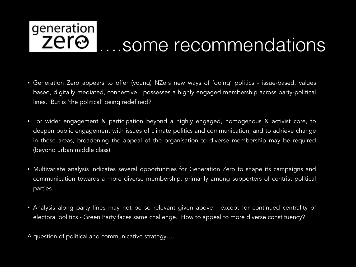# generation<br>Zero<br>
....some recommendations

- Generation Zero appears to offer (young) NZers new ways of 'doing' politics issue-based, values based, digitally mediated, connective…possesses a highly engaged membership across party-political lines. But is 'the political' being redefined?
- For wider engagement & participation beyond a highly engaged, homogenous & activist core, to deepen public engagement with issues of climate politics and communication, and to achieve change in these areas, broadening the appeal of the organisation to diverse membership may be required (beyond urban middle class).
- Multivariate analysis indicates several opportunities for Generation Zero to shape its campaigns and communication towards a more diverse membership, primarily among supporters of centrist political parties.
- Analysis along party lines may not be so relevant given above except for continued centrality of electoral politics - Green Party faces same challenge. How to appeal to more diverse constituency?

A question of political and communicative strategy….